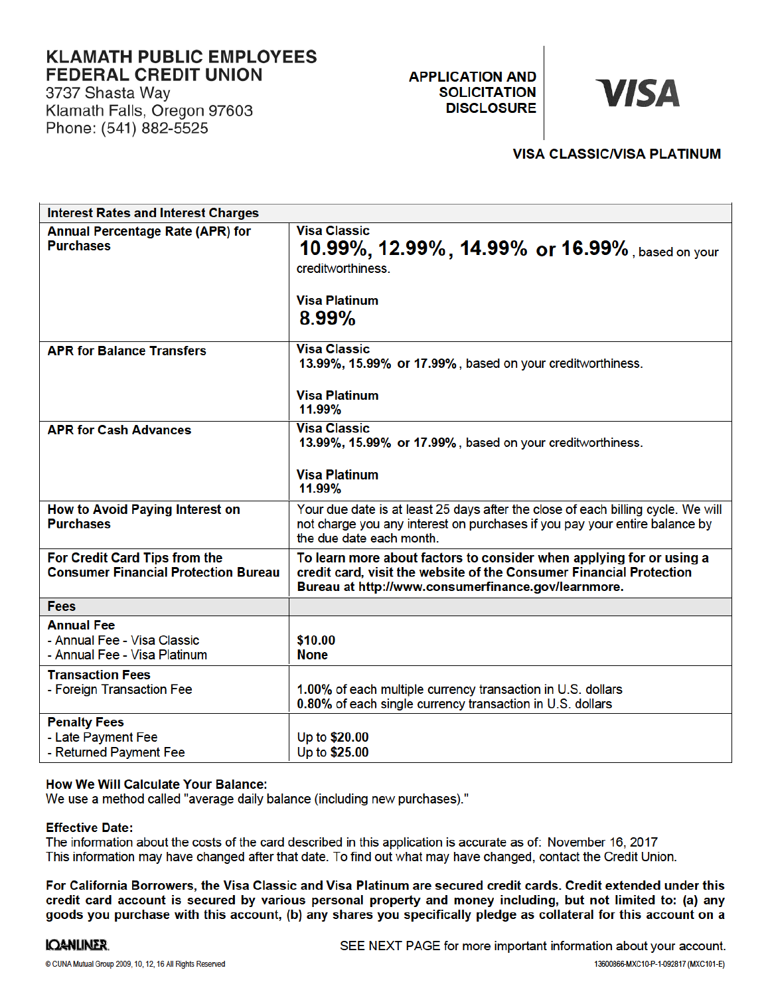### **KLAMATH PUBLIC EMPLOYEES FEDERAL CREDIT UNION**

3737 Shasta Way Klamath Falls, Oregon 97603 Phone: (541) 882-5525

**APPLICATION AND SOLICITATION DISCLOSURE** 

# **VISA**

#### **VISA CLASSIC/VISA PLATINUM**

| <b>Interest Rates and Interest Charges</b>                                       |                                                                                                                                                                                                    |
|----------------------------------------------------------------------------------|----------------------------------------------------------------------------------------------------------------------------------------------------------------------------------------------------|
| <b>Annual Percentage Rate (APR) for</b><br><b>Purchases</b>                      | <b>Visa Classic</b><br>10.99%, 12.99%, 14.99% or 16.99%, based on your<br>creditworthiness.<br><b>Visa Platinum</b><br>8.99%                                                                       |
| <b>APR for Balance Transfers</b>                                                 | <b>Visa Classic</b><br>13.99%, 15.99% or 17.99%, based on your creditworthiness.<br><b>Visa Platinum</b><br>11.99%                                                                                 |
| <b>APR for Cash Advances</b>                                                     | <b>Visa Classic</b><br>13.99%, 15.99% or 17.99%, based on your creditworthiness.<br><b>Visa Platinum</b><br>11.99%                                                                                 |
| How to Avoid Paying Interest on<br><b>Purchases</b>                              | Your due date is at least 25 days after the close of each billing cycle. We will<br>not charge you any interest on purchases if you pay your entire balance by<br>the due date each month.         |
| For Credit Card Tips from the<br><b>Consumer Financial Protection Bureau</b>     | To learn more about factors to consider when applying for or using a<br>credit card, visit the website of the Consumer Financial Protection<br>Bureau at http://www.consumerfinance.gov/learnmore. |
| <b>Fees</b>                                                                      |                                                                                                                                                                                                    |
| <b>Annual Fee</b><br>- Annual Fee - Visa Classic<br>- Annual Fee - Visa Platinum | \$10.00<br><b>None</b>                                                                                                                                                                             |
| <b>Transaction Fees</b><br>- Foreign Transaction Fee                             | 1.00% of each multiple currency transaction in U.S. dollars<br>0.80% of each single currency transaction in U.S. dollars                                                                           |
| <b>Penalty Fees</b><br>- Late Payment Fee<br>- Returned Payment Fee              | Up to \$20.00<br>Up to \$25.00                                                                                                                                                                     |

#### **How We Will Calculate Your Balance:**

We use a method called "average daily balance (including new purchases)."

#### **Effective Date:**

The information about the costs of the card described in this application is accurate as of: November 16, 2017 This information may have changed after that date. To find out what may have changed, contact the Credit Union.

For California Borrowers, the Visa Classic and Visa Platinum are secured credit cards. Credit extended under this credit card account is secured by various personal property and money including, but not limited to: (a) any goods you purchase with this account, (b) any shares you specifically pledge as collateral for this account on a